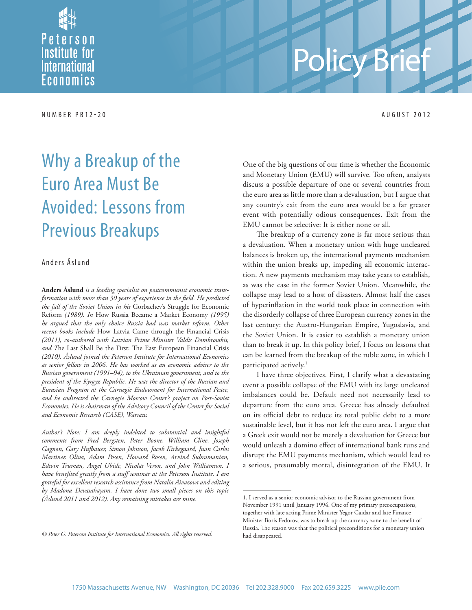Peterson **Institute for International** Economics

#### NUMBER PB12-20 AUGUST 2012

# Policy Brief

## Why a Breakup of the Euro Area Must Be Avoided: Lessons from Previous Breakups

#### Anders Åslund

**Anders Åslund** *is a leading specialist on postcommunist economic trans*formation with more than 30 years of experience in the field. He predicted *the fall of the Soviet Union in his* Gorbachev's Struggle for Economic Reform *(1989). In* How Russia Became a Market Economy *(1995) he argued that the only choice Russia had was market reform. Other recent books include* How Latvia Came through the Financial Crisis *(2011), co-authored with Latvian Prime Minister Valdis Dombrovskis,*  and The Last Shall Be the First: The East European Financial Crisis *(2010). Åslund joined the Peterson Institute for International Economics as senior fellow in 2006. He has worked as an economic adviser to the Russian government (1991–94), to the Ukrainian government, and to the president of the Kyrgyz Republic. He was the director of the Russian and Eurasian Program at the Carnegie Endowment for International Peace, and he codirected the Carnegie Moscow Center's project on Post-Soviet Economies. He is chairman of the Advisory Council of the Center for Social and Economic Research (CASE), Warsaw.* 

*Author's Note: I am deeply indebted to substantial and insightful comments from Fred Bergsten, Peter Boone, William Cline, Joseph Gagnon, Gary Hufbauer, Simon Johnson, Jacob Kirkegaard, Juan Carlos Martinez Oliva, Adam Posen, Howard Rosen, Arvind Subramanian, Edwin Truman, Angel Ubide, Nicolas Veron, and John Williamson. I have benefi ted greatly from a staff seminar at the Peterson Institute. I am grateful for excellent research assistance from Natalia Aivazova and editing by Madona Devasahayam. I have done two small pieces on this topic (Åslund 2011 and 2012). Any remaining mistakes are mine.*

One of the big questions of our time is whether the Economic and Monetary Union (EMU) will survive. Too often, analysts discuss a possible departure of one or several countries from the euro area as little more than a devaluation, but I argue that any country's exit from the euro area would be a far greater event with potentially odious consequences. Exit from the EMU cannot be selective: It is either none or all.

The breakup of a currency zone is far more serious than a devaluation. When a monetary union with huge uncleared balances is broken up, the international payments mechanism within the union breaks up, impeding all economic interaction. A new payments mechanism may take years to establish, as was the case in the former Soviet Union. Meanwhile, the collapse may lead to a host of disasters. Almost half the cases of hyperinflation in the world took place in connection with the disorderly collapse of three European currency zones in the last century: the Austro-Hungarian Empire, Yugoslavia, and the Soviet Union. It is easier to establish a monetary union than to break it up. In this policy brief, I focus on lessons that can be learned from the breakup of the ruble zone, in which I participated actively.<sup>1</sup>

I have three objectives. First, I clarify what a devastating event a possible collapse of the EMU with its large uncleared imbalances could be. Default need not necessarily lead to departure from the euro area. Greece has already defaulted on its official debt to reduce its total public debt to a more sustainable level, but it has not left the euro area. I argue that a Greek exit would not be merely a devaluation for Greece but would unleash a domino effect of international bank runs and disrupt the EMU payments mechanism, which would lead to a serious, presumably mortal, disintegration of the EMU. It

*<sup>©</sup> Peter G. Peterson Institute for International Economics. All rights reserved.*

<sup>1.</sup> I served as a senior economic advisor to the Russian government from November 1991 until January 1994. One of my primary preoccupations, together with late acting Prime Minister Yegor Gaidar and late Finance Minister Boris Fedorov, was to break up the currency zone to the benefit of Russia. The reason was that the political preconditions for a monetary union had disappeared.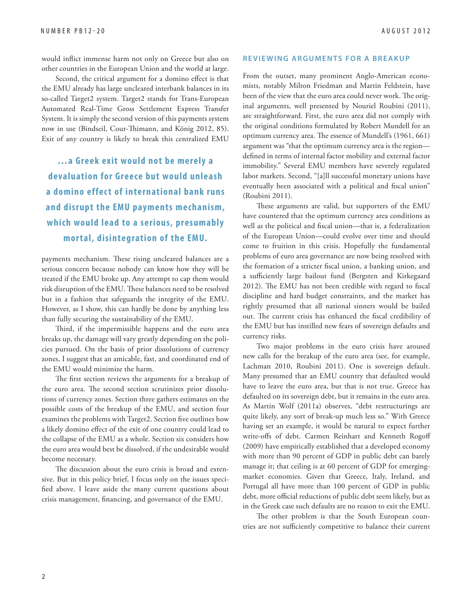would inflict immense harm not only on Greece but also on other countries in the European Union and the world at large.

Second, the critical argument for a domino effect is that the EMU already has large uncleared interbank balances in its so-called Target2 system. Target2 stands for Trans-European Automated Real-Time Gross Settlement Express Transfer System. It is simply the second version of this payments system now in use (Bindseil, Cour-Thimann, and König 2012, 85). Exit of any country is likely to break this centralized EMU

 **…a Greek exit would not be merely a devaluation for Greece but would unleash a domino effect of international bank runs and disrupt the EMU payments mechanism, which would lead to a serious, presumably mortal, disintegration of the EMU.**

payments mechanism. These rising uncleared balances are a serious concern because nobody can know how they will be treated if the EMU broke up. Any attempt to cap them would risk disruption of the EMU. These balances need to be resolved but in a fashion that safeguards the integrity of the EMU. However, as I show, this can hardly be done by anything less than fully securing the sustainability of the EMU.

Third, if the impermissible happens and the euro area breaks up, the damage will vary greatly depending on the policies pursued. On the basis of prior dissolutions of currency zones, I suggest that an amicable, fast, and coordinated end of the EMU would minimize the harm.

The first section reviews the arguments for a breakup of the euro area. The second section scrutinizes prior dissolutions of currency zones. Section three gathers estimates on the possible costs of the breakup of the EMU, and section four examines the problems with Target2. Section five outlines how a likely domino effect of the exit of one country could lead to the collapse of the EMU as a whole. Section six considers how the euro area would best be dissolved, if the undesirable would become necessary.

The discussion about the euro crisis is broad and extensive. But in this policy brief, I focus only on the issues specified above. I leave aside the many current questions about crisis management, financing, and governance of the EMU.

#### **REVIEWING ARGUMENTS FOR A BREAKUP**

From the outset, many prominent Anglo-American economists, notably Milton Friedman and Martin Feldstein, have been of the view that the euro area could never work. The original arguments, well presented by Nouriel Roubini (2011), are straightforward. First, the euro area did not comply with the original conditions formulated by Robert Mundell for an optimum currency area. The essence of Mundell's (1961, 661) argument was "that the optimum currency area is the region defined in terms of internal factor mobility and external factor immobility." Several EMU members have severely regulated labor markets. Second, "[a]ll successful monetary unions have eventually been associated with a political and fiscal union" (Roubini 2011).

These arguments are valid, but supporters of the EMU have countered that the optimum currency area conditions as well as the political and fiscal union—that is, a federalization of the European Union—could evolve over time and should come to fruition in this crisis. Hopefully the fundamental problems of euro area governance are now being resolved with the formation of a stricter fiscal union, a banking union, and a sufficiently large bailout fund (Bergsten and Kirkegaard 2012). The EMU has not been credible with regard to fiscal discipline and hard budget constraints, and the market has rightly presumed that all national sinners would be bailed out. The current crisis has enhanced the fiscal credibility of the EMU but has instilled new fears of sovereign defaults and currency risks.

Two major problems in the euro crisis have aroused new calls for the breakup of the euro area (see, for example, Lachman 2010, Roubini 2011). One is sovereign default. Many presumed that an EMU country that defaulted would have to leave the euro area, but that is not true. Greece has defaulted on its sovereign debt, but it remains in the euro area. As Martin Wolf (2011a) observes, "debt restructurings are quite likely, any sort of break-up much less so." With Greece having set an example, it would be natural to expect further write-offs of debt. Carmen Reinhart and Kenneth Rogoff (2009) have empirically established that a developed economy with more than 90 percent of GDP in public debt can barely manage it; that ceiling is at 60 percent of GDP for emergingmarket economies. Given that Greece, Italy, Ireland, and Portugal all have more than 100 percent of GDP in public debt, more official reductions of public debt seem likely, but as in the Greek case such defaults are no reason to exit the EMU.

The other problem is that the South European countries are not sufficiently competitive to balance their current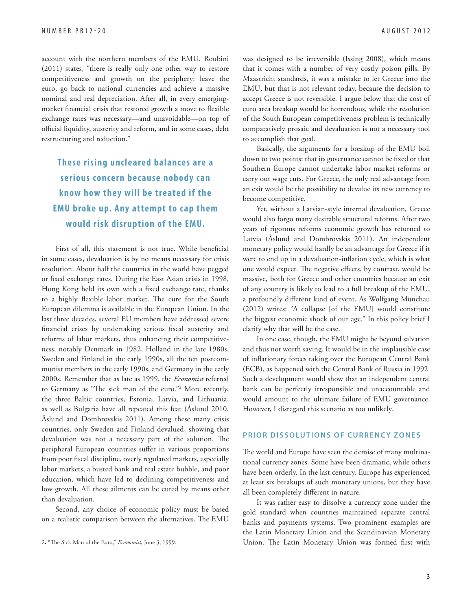account with the northern members of the EMU. Roubini (2011) states, "there is really only one other way to restore competitiveness and growth on the periphery: leave the euro, go back to national currencies and achieve a massive nominal and real depreciation. After all, in every emergingmarket financial crisis that restored growth a move to flexible exchange rates was necessary—and unavoidable—on top of official liquidity, austerity and reform, and in some cases, debt restructuring and reduction."

### **These rising uncleared balances are a**  serious concern because nobody can **know how they will be treated if the EMU broke up. Any attempt to cap them would risk disruption of the EMU.**

First of all, this statement is not true. While beneficial in some cases, devaluation is by no means necessary for crisis resolution. About half the countries in the world have pegged or fixed exchange rates. During the East Asian crisis in 1998, Hong Kong held its own with a fixed exchange rate, thanks to a highly flexible labor market. The cure for the South European dilemma is available in the European Union. In the last three decades, several EU members have addressed severe financial crises by undertaking serious fiscal austerity and reforms of labor markets, thus enhancing their competitiveness, notably Denmark in 1982, Holland in the late 1980s, Sweden and Finland in the early 1990s, all the ten postcommunist members in the early 1990s, and Germany in the early 2000s. Remember that as late as 1999, the *Economist* referred to Germany as "The sick man of the euro."<sup>2</sup> More recently, the three Baltic countries, Estonia, Latvia, and Lithuania, as well as Bulgaria have all repeated this feat (Åslund 2010, Åslund and Dombrovskis 2011). Among these many crisis countries, only Sweden and Finland devalued, showing that devaluation was not a necessary part of the solution. The peripheral European countries suffer in various proportions from poor fiscal discipline, overly regulated markets, especially labor markets, a busted bank and real estate bubble, and poor education, which have led to declining competitiveness and low growth. All these ailments can be cured by means other than devaluation.

Second, any choice of economic policy must be based on a realistic comparison between the alternatives. The EMU was designed to be irreversible (Issing 2008), which means that it comes with a number of very costly poison pills. By Maastricht standards, it was a mistake to let Greece into the EMU, but that is not relevant today, because the decision to accept Greece is not reversible. I argue below that the cost of euro area breakup would be horrendous, while the resolution of the South European competitiveness problem is technically comparatively prosaic and devaluation is not a necessary tool to accomplish that goal.

Basically, the arguments for a breakup of the EMU boil down to two points: that its governance cannot be fixed or that Southern Europe cannot undertake labor market reforms or carry out wage cuts. For Greece, the only real advantage from an exit would be the possibility to devalue its new currency to become competitive.

Yet, without a Latvian-style internal devaluation, Greece would also forgo many desirable structural reforms. After two years of rigorous reforms economic growth has returned to Latvia (Åslund and Dombrovskis 2011). An independent monetary policy would hardly be an advantage for Greece if it were to end up in a devaluation-inflation cycle, which is what one would expect. The negative effects, by contrast, would be massive, both for Greece and other countries because an exit of any country is likely to lead to a full breakup of the EMU, a profoundly different kind of event. As Wolfgang Münchau (2012) writes: "A collapse [of the EMU] would constitute the biggest economic shock of our age." In this policy brief I clarify why that will be the case.

In one case, though, the EMU might be beyond salvation and thus not worth saving. It would be in the implausible case of inflationary forces taking over the European Central Bank (ECB), as happened with the Central Bank of Russia in 1992. Such a development would show that an independent central bank can be perfectly irresponsible and unaccountable and would amount to the ultimate failure of EMU governance. However, I disregard this scenario as too unlikely.

#### **PRIOR DISSOLUTIONS OF CURRENCY ZONES**

The world and Europe have seen the demise of many multinational currency zones. Some have been dramatic, while others have been orderly. In the last century, Europe has experienced at least six breakups of such monetary unions, but they have all been completely different in nature.

It was rather easy to dissolve a currency zone under the gold standard when countries maintained separate central banks and payments systems. Two prominent examples are the Latin Monetary Union and the Scandinavian Monetary Union. The Latin Monetary Union was formed first with

<sup>2. &</sup>quot;The Sick Man of the Euro," *Economist*, June 3, 1999.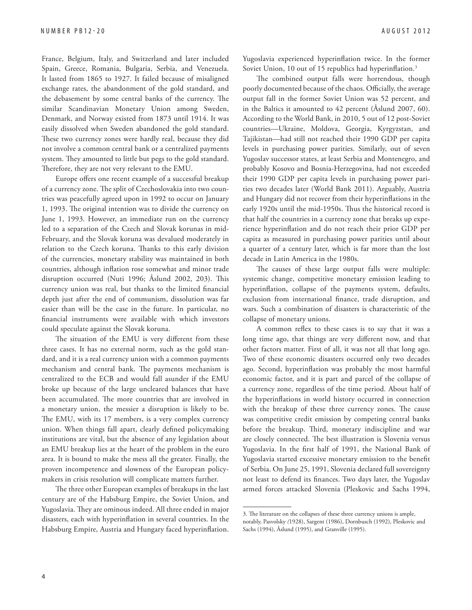France, Belgium, Italy, and Switzerland and later included Spain, Greece, Romania, Bulgaria, Serbia, and Venezuela. It lasted from 1865 to 1927. It failed because of misaligned exchange rates, the abandonment of the gold standard, and the debasement by some central banks of the currency. The similar Scandinavian Monetary Union among Sweden, Denmark, and Norway existed from 1873 until 1914. It was easily dissolved when Sweden abandoned the gold standard. These two currency zones were hardly real, because they did not involve a common central bank or a centralized payments system. They amounted to little but pegs to the gold standard. Therefore, they are not very relevant to the EMU.

Europe offers one recent example of a successful breakup of a currency zone. The split of Czechoslovakia into two countries was peacefully agreed upon in 1992 to occur on January 1, 1993. The original intention was to divide the currency on June 1, 1993. However, an immediate run on the currency led to a separation of the Czech and Slovak korunas in mid-February, and the Slovak koruna was devalued moderately in relation to the Czech koruna. Thanks to this early division of the currencies, monetary stability was maintained in both countries, although inflation rose somewhat and minor trade disruption occurred (Nuti 1996; Åslund 2002, 203). This currency union was real, but thanks to the limited financial depth just after the end of communism, dissolution was far easier than will be the case in the future. In particular, no financial instruments were available with which investors could speculate against the Slovak koruna.

The situation of the EMU is very different from these three cases. It has no external norm, such as the gold standard, and it is a real currency union with a common payments mechanism and central bank. The payments mechanism is centralized to the ECB and would fall asunder if the EMU broke up because of the large uncleared balances that have been accumulated. The more countries that are involved in a monetary union, the messier a disruption is likely to be. The EMU, with its 17 members, is a very complex currency union. When things fall apart, clearly defined policymaking institutions are vital, but the absence of any legislation about an EMU breakup lies at the heart of the problem in the euro area. It is bound to make the mess all the greater. Finally, the proven incompetence and slowness of the European policymakers in crisis resolution will complicate matters further.

The three other European examples of breakups in the last century are of the Habsburg Empire, the Soviet Union, and Yugoslavia. They are ominous indeed. All three ended in major disasters, each with hyperinflation in several countries. In the Habsburg Empire, Austria and Hungary faced hyperinflation. Yugoslavia experienced hyperinflation twice. In the former Soviet Union, 10 out of 15 republics had hyperinflation.<sup>3</sup>

The combined output falls were horrendous, though poorly documented because of the chaos. Officially, the average output fall in the former Soviet Union was 52 percent, and in the Baltics it amounted to 42 percent (Åslund 2007, 60). According to the World Bank, in 2010, 5 out of 12 post-Soviet countries—Ukraine, Moldova, Georgia, Kyrgyzstan, and Tajikistan—had still not reached their 1990 GDP per capita levels in purchasing power parities. Similarly, out of seven Yugoslav successor states, at least Serbia and Montenegro, and probably Kosovo and Bosnia-Herzegovina, had not exceeded their 1990 GDP per capita levels in purchasing power parities two decades later (World Bank 2011). Arguably, Austria and Hungary did not recover from their hyperinflations in the early 1920s until the mid-1950s. Thus the historical record is that half the countries in a currency zone that breaks up experience hyperinflation and do not reach their prior GDP per capita as measured in purchasing power parities until about a quarter of a century later, which is far more than the lost decade in Latin America in the 1980s.

The causes of these large output falls were multiple: systemic change, competitive monetary emission leading to hyperinflation, collapse of the payments system, defaults, exclusion from international finance, trade disruption, and wars. Such a combination of disasters is characteristic of the collapse of monetary unions.

A common reflex to these cases is to say that it was a long time ago, that things are very different now, and that other factors matter. First of all, it was not all that long ago. Two of these economic disasters occurred only two decades ago. Second, hyperinflation was probably the most harmful economic factor, and it is part and parcel of the collapse of a currency zone, regardless of the time period. About half of the hyperinflations in world history occurred in connection with the breakup of these three currency zones. The cause was competitive credit emission by competing central banks before the breakup. Third, monetary indiscipline and war are closely connected. The best illustration is Slovenia versus Yugoslavia. In the first half of 1991, the National Bank of Yugoslavia started excessive monetary emission to the benefit of Serbia. On June 25, 1991, Slovenia declared full sovereignty not least to defend its finances. Two days later, the Yugoslav armed forces attacked Slovenia (Pleskovic and Sachs 1994,

<sup>3.</sup> The literature on the collapses of these three currency unions is ample, notably, Pasvolsky *(*1928), Sargent (1986), Dornbusch (1992), Pleskovic and Sachs (1994), Åslund (1995), and Granville (1995).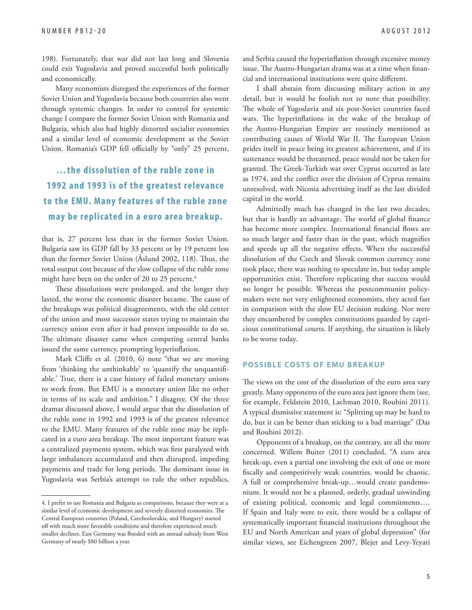198). Fortunately, that war did not last long and Slovenia could exit Yugoslavia and proved successful both politically and economically.

Many economists disregard the experiences of the former Soviet Union and Yugoslavia because both countries also went through systemic changes. In order to control for systemic change I compare the former Soviet Union with Romania and Bulgaria, which also had highly distorted socialist economies and a similar level of economic development as the Soviet Union. Romania's GDP fell officially by "only" 25 percent,

#### **…the dissolution of the ruble zone in 1992 and 1993 is of the greatest relevance to the EMU. Many features of the ruble zone may be replicated in a euro area breakup.**

that is, 27 percent less than in the former Soviet Union. Bulgaria saw its GDP fall by 33 percent or by 19 percent less than the former Soviet Union (Åslund 2002, 118). Thus, the total output cost because of the slow collapse of the ruble zone might have been on the order of 20 to 25 percent.<sup>4</sup>

These dissolutions were prolonged, and the longer they lasted, the worse the economic disaster became. The cause of the breakups was political disagreements, with the old center of the union and most successor states trying to maintain the currency union even after it had proven impossible to do so. The ultimate disaster came when competing central banks issued the same currency, prompting hyperinflation.

Mark Cliffe et al. (2010, 6) note "that we are moving from 'thinking the unthinkable' to 'quantify the unquantifiable.' True, there is a case history of failed monetary unions to work from. But EMU is a monetary union like no other in terms of its scale and ambition." I disagree. Of the three dramas discussed above, I would argue that the dissolution of the ruble zone in 1992 and 1993 is of the greatest relevance to the EMU. Many features of the ruble zone may be replicated in a euro area breakup. The most important feature was a centralized payments system, which was first paralyzed with large imbalances accumulated and then disrupted, impeding payments and trade for long periods. The dominant issue in Yugoslavia was Serbia's attempt to rule the other republics,

and Serbia caused the hyperinflation through excessive money issue. The Austro-Hungarian drama was at a time when financial and international institutions were quite different.

I shall abstain from discussing military action in any detail, but it would be foolish not to note that possibility. The whole of Yugoslavia and six post-Soviet countries faced wars. The hyperinflations in the wake of the breakup of the Austro-Hungarian Empire are routinely mentioned as contributing causes of World War II. The European Union prides itself in peace being its greatest achievement, and if its sustenance would be threatened, peace would not be taken for granted. The Greek-Turkish war over Cyprus occurred as late as 1974, and the conflict over the division of Cyprus remains unresolved, with Nicosia advertising itself as the last divided capital in the world.

Admittedly much has changed in the last two decades, but that is hardly an advantage. The world of global finance has become more complex. International financial flows are so much larger and faster than in the past, which magnifies and speeds up all the negative effects. When the successful dissolution of the Czech and Slovak common currency zone took place, there was nothing to speculate in, but today ample opportunities exist. Therefore replicating that success would no longer be possible. Whereas the postcommunist policymakers were not very enlightened economists, they acted fast in comparison with the slow EU decision making. Nor were they encumbered by complex constitutions guarded by capricious constitutional courts. If anything, the situation is likely to be worse today.

#### **POSSIBLE COSTS OF EMU BREAKUP**

The views on the cost of the dissolution of the euro area vary greatly. Many opponents of the euro area just ignore them (see, for example, Feldstein 2010, Lachman 2010, Roubini 2011). A typical dismissive statement is: "Splitting up may be hard to do, but it can be better than sticking to a bad marriage" (Das and Roubini 2012).

Opponents of a breakup, on the contrary, are all the more concerned. Willem Buiter (2011) concluded, "A euro area break-up, even a partial one involving the exit of one or more fiscally and competitively weak countries, would be chaotic. A full or comprehensive break-up…would create pandemonium. It would not be a planned, orderly, gradual unwinding of existing political, economic and legal commitments…. If Spain and Italy were to exit, there would be a collapse of systematically important financial institutions throughout the EU and North American and years of global depression" (for similar views, see Eichengreen 2007, Blejer and Levy-Yeyati

<sup>4.</sup> I prefer to use Romania and Bulgaria as comparisons, because they were at a similar level of economic development and severely distorted economies. The Central European countries (Poland, Czechoslovakia, and Hungary) started off with much more favorable conditions and therefore experienced much smaller declines. East Germany was flooded with an annual subsidy from West Germany of nearly \$80 billion a year.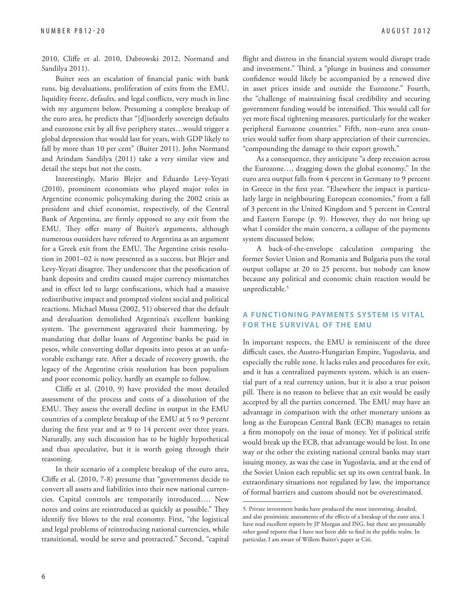2010, Cliffe et al. 2010, Dabrowski 2012, Normand and Sandilya 2011).

Buiter sees an escalation of financial panic with bank runs, big devaluations, proliferation of exits from the EMU, liquidity freeze, defaults, and legal conflicts, very much in line with my argument below. Presuming a complete breakup of the euro area, he predicts that "[d]isorderly sovereign defaults and eurozone exit by all five periphery states...would trigger a global depression that would last for years, with GDP likely to fall by more than 10 per cent" (Buiter 2011). John Normand and Arindam Sandilya (2011) take a very similar view and detail the steps but not the costs.

Interestingly, Mario Blejer and Eduardo Levy-Yeyati (2010), prominent economists who played major roles in Argentine economic policymaking during the 2002 crisis as president and chief economist, respectively, of the Central Bank of Argentina, are firmly opposed to any exit from the EMU. They offer many of Buiter's arguments, although numerous outsiders have referred to Argentina as an argument for a Greek exit from the EMU. The Argentine crisis resolution in 2001–02 is now presented as a success, but Blejer and Levy-Yeyati disagree. They underscore that the pesofication of bank deposits and credits caused major currency mismatches and in effect led to large confiscations, which had a massive redistributive impact and prompted violent social and political reactions. Michael Mussa (2002, 51) observed that the default and devaluation demolished Argentina's excellent banking system. The government aggravated their hammering, by mandating that dollar loans of Argentine banks be paid in pesos, while converting dollar deposits into pesos at an unfavorable exchange rate. After a decade of recovery growth, the legacy of the Argentine crisis resolution has been populism and poor economic policy, hardly an example to follow.

Cliffe et al. (2010, 9) have provided the most detailed assessment of the process and costs of a dissolution of the EMU. They assess the overall decline in output in the EMU countries of a complete breakup of the EMU at 5 to 9 percent during the first year and at 9 to 14 percent over three years. Naturally, any such discussion has to be highly hypothetical and thus speculative, but it is worth going through their reasoning.

In their scenario of a complete breakup of the euro area, Cliffe et al. (2010, 7-8) presume that "governments decide to convert all assets and liabilities into their new national currencies. Capital controls are temporarily introduced…. New notes and coins are reintroduced as quickly as possible." They identify five blows to the real economy. First, "the logistical and legal problems of reintroducing national currencies, while transitional, would be serve and protracted." Second, "capital

flight and distress in the financial system would disrupt trade and investment." Third, a "plunge in business and consumer confidence would likely be accompanied by a renewed dive in asset prices inside and outside the Eurozone." Fourth, the "challenge of maintaining fiscal credibility and securing government funding would be intensified. This would call for yet more fiscal tightening measures, particularly for the weaker peripheral Eurozone countries." Fifth, non–euro area countries would suffer from sharp appreciation of their currencies, "compounding the damage to their export growth."

As a consequence, they anticipate "a deep recession across the Eurozone…, dragging down the global economy." In the euro area output falls from 4 percent in Germany to 9 percent in Greece in the first year. "Elsewhere the impact is particularly large in neighbouring European economies," from a fall of 3 percent in the United Kingdom and 5 percent in Central and Eastern Europe (p. 9). However, they do not bring up what I consider the main concern, a collapse of the payments system discussed below.

A back-of-the-envelope calculation comparing the former Soviet Union and Romania and Bulgaria puts the total output collapse at 20 to 25 percent, but nobody can know because any political and economic chain reaction would be unpredictable.<sup>5</sup>

#### **A FUNCTIONING PAYMENTS SYSTEM IS VITAL FOR THE SURVIVAL OF THE EMU**

In important respects, the EMU is reminiscent of the three difficult cases, the Austro-Hungarian Empire, Yugoslavia, and especially the ruble zone. It lacks rules and procedures for exit, and it has a centralized payments system, which is an essential part of a real currency union, but it is also a true poison pill. There is no reason to believe that an exit would be easily accepted by all the parties concerned. The EMU may have an advantage in comparison with the other monetary unions as long as the European Central Bank (ECB) manages to retain a firm monopoly on the issue of money. Yet if political strife would break up the ECB, that advantage would be lost. In one way or the other the existing national central banks may start issuing money, as was the case in Yugoslavia, and at the end of the Soviet Union each republic set up its own central bank. In extraordinary situations not regulated by law, the importance of formal barriers and custom should not be overestimated.

<sup>5.</sup> Private investment banks have produced the most interesting, detailed, and also pessimistic assessments of the effects of a breakup of the euro area. I have read excellent reports by JP Morgan and ING, but there are presumably other good reports that I have not been able to find in the public realm. In particular, I am aware of Willem Buiter's paper at Citi.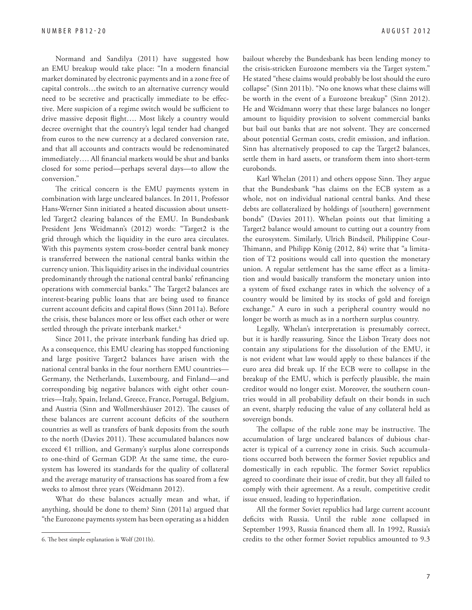Normand and Sandilya (2011) have suggested how an EMU breakup would take place: "In a modern financial market dominated by electronic payments and in a zone free of capital controls…the switch to an alternative currency would need to be secretive and practically immediate to be effective. Mere suspicion of a regime switch would be sufficient to drive massive deposit flight.... Most likely a country would decree overnight that the country's legal tender had changed from euros to the new currency at a declared conversion rate, and that all accounts and contracts would be redenominated immediately.... All financial markets would be shut and banks closed for some period—perhaps several days—to allow the conversion."

The critical concern is the EMU payments system in combination with large uncleared balances. In 2011, Professor Hans-Werner Sinn initiated a heated discussion about unsettled Target2 clearing balances of the EMU. In Bundesbank President Jens Weidmann's (2012) words: "Target2 is the grid through which the liquidity in the euro area circulates. With this payments system cross-border central bank money is transferred between the national central banks within the currency union. This liquidity arises in the individual countries predominantly through the national central banks' refinancing operations with commercial banks." The Target2 balances are interest-bearing public loans that are being used to finance current account deficits and capital flows (Sinn 2011a). Before the crisis, these balances more or less offset each other or were settled through the private interbank market.<sup>6</sup>

Since 2011, the private interbank funding has dried up. As a consequence, this EMU clearing has stopped functioning and large positive Target2 balances have arisen with the national central banks in the four northern EMU countries— Germany, the Netherlands, Luxembourg, and Finland—and corresponding big negative balances with eight other countries—Italy, Spain, Ireland, Greece, France, Portugal, Belgium, and Austria (Sinn and Wollmershäuser 2012). The causes of these balances are current account deficits of the southern countries as well as transfers of bank deposits from the south to the north (Davies 2011). These accumulated balances now exceed €1 trillion, and Germany's surplus alone corresponds to one-third of German GDP. At the same time, the eurosystem has lowered its standards for the quality of collateral and the average maturity of transactions has soared from a few weeks to almost three years (Weidmann 2012).

What do these balances actually mean and what, if anything, should be done to them? Sinn (2011a) argued that "the Eurozone payments system has been operating as a hidden

bailout whereby the Bundesbank has been lending money to the crisis-stricken Eurozone members via the Target system." He stated "these claims would probably be lost should the euro collapse" (Sinn 2011b). "No one knows what these claims will be worth in the event of a Eurozone breakup" (Sinn 2012). He and Weidmann worry that these large balances no longer amount to liquidity provision to solvent commercial banks but bail out banks that are not solvent. They are concerned about potential German costs, credit emission, and inflation. Sinn has alternatively proposed to cap the Target2 balances, settle them in hard assets, or transform them into short-term eurobonds.

Karl Whelan (2011) and others oppose Sinn. They argue that the Bundesbank "has claims on the ECB system as a whole, not on individual national central banks. And these debts are collateralized by holdings of [southern] government bonds" (Davies 2011). Whelan points out that limiting a Target2 balance would amount to cutting out a country from the eurosystem. Similarly, Ulrich Bindseil, Philippine Cour-Thimann, and Philipp König (2012, 84) write that "a limitation of T2 positions would call into question the monetary union. A regular settlement has the same effect as a limitation and would basically transform the monetary union into a system of fixed exchange rates in which the solvency of a country would be limited by its stocks of gold and foreign exchange." A euro in such a peripheral country would no longer be worth as much as in a northern surplus country.

Legally, Whelan's interpretation is presumably correct, but it is hardly reassuring. Since the Lisbon Treaty does not contain any stipulations for the dissolution of the EMU, it is not evident what law would apply to these balances if the euro area did break up. If the ECB were to collapse in the breakup of the EMU, which is perfectly plausible, the main creditor would no longer exist. Moreover, the southern countries would in all probability default on their bonds in such an event, sharply reducing the value of any collateral held as sovereign bonds.

The collapse of the ruble zone may be instructive. The accumulation of large uncleared balances of dubious character is typical of a currency zone in crisis. Such accumulations occurred both between the former Soviet republics and domestically in each republic. The former Soviet republics agreed to coordinate their issue of credit, but they all failed to comply with their agreement. As a result, competitive credit issue ensued, leading to hyperinflation.

All the former Soviet republics had large current account deficits with Russia. Until the ruble zone collapsed in September 1993, Russia financed them all. In 1992, Russia's credits to the other former Soviet republics amounted to 9.3

<sup>6.</sup> The best simple explanation is Wolf (2011b).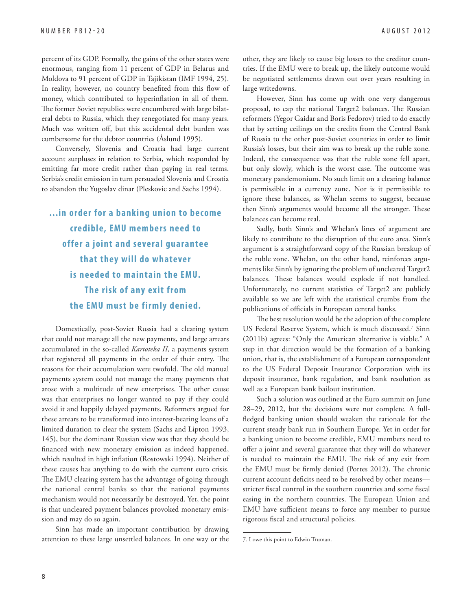percent of its GDP. Formally, the gains of the other states were enormous, ranging from 11 percent of GDP in Belarus and Moldova to 91 percent of GDP in Tajikistan (IMF 1994, 25). In reality, however, no country benefited from this flow of money, which contributed to hyperinflation in all of them. The former Soviet republics were encumbered with large bilateral debts to Russia, which they renegotiated for many years. Much was written off, but this accidental debt burden was cumbersome for the debtor countries (Åslund 1995).

Conversely, Slovenia and Croatia had large current account surpluses in relation to Serbia, which responded by emitting far more credit rather than paying in real terms. Serbia's credit emission in turn persuaded Slovenia and Croatia to abandon the Yugoslav dinar (Pleskovic and Sachs 1994).

**...in order for a banking union to become credible, EMU members need to offer a joint and several guarantee that they will do whatever is needed to maintain the EMU. The risk of any exit from the EMU must be firmly denied.**

Domestically, post-Soviet Russia had a clearing system that could not manage all the new payments, and large arrears accumulated in the so-called *Kartoteka II,* a payments system that registered all payments in the order of their entry. The reasons for their accumulation were twofold. The old manual payments system could not manage the many payments that arose with a multitude of new enterprises. The other cause was that enterprises no longer wanted to pay if they could avoid it and happily delayed payments. Reformers argued for these arrears to be transformed into interest-bearing loans of a limited duration to clear the system (Sachs and Lipton 1993, 145), but the dominant Russian view was that they should be financed with new monetary emission as indeed happened, which resulted in high inflation (Rostowski 1994). Neither of these causes has anything to do with the current euro crisis. The EMU clearing system has the advantage of going through the national central banks so that the national payments mechanism would not necessarily be destroyed. Yet, the point is that uncleared payment balances provoked monetary emission and may do so again.

Sinn has made an important contribution by drawing attention to these large unsettled balances. In one way or the other, they are likely to cause big losses to the creditor countries. If the EMU were to break up, the likely outcome would be negotiated settlements drawn out over years resulting in large writedowns.

However, Sinn has come up with one very dangerous proposal, to cap the national Target2 balances. The Russian reformers (Yegor Gaidar and Boris Fedorov) tried to do exactly that by setting ceilings on the credits from the Central Bank of Russia to the other post-Soviet countries in order to limit Russia's losses, but their aim was to break up the ruble zone. Indeed, the consequence was that the ruble zone fell apart, but only slowly, which is the worst case. The outcome was monetary pandemonium. No such limit on a clearing balance is permissible in a currency zone. Nor is it permissible to ignore these balances, as Whelan seems to suggest, because then Sinn's arguments would become all the stronger. These balances can become real.

Sadly, both Sinn's and Whelan's lines of argument are likely to contribute to the disruption of the euro area. Sinn's argument is a straightforward copy of the Russian breakup of the ruble zone. Whelan, on the other hand, reinforces arguments like Sinn's by ignoring the problem of uncleared Target2 balances. These balances would explode if not handled. Unfortunately, no current statistics of Target2 are publicly available so we are left with the statistical crumbs from the publications of officials in European central banks.

The best resolution would be the adoption of the complete US Federal Reserve System, which is much discussed.7 Sinn (2011b) agrees: "Only the American alternative is viable." A step in that direction would be the formation of a banking union, that is, the establishment of a European correspondent to the US Federal Deposit Insurance Corporation with its deposit insurance, bank regulation, and bank resolution as well as a European bank bailout institution.

Such a solution was outlined at the Euro summit on June 28–29, 2012, but the decisions were not complete. A fullfledged banking union should weaken the rationale for the current steady bank run in Southern Europe. Yet in order for a banking union to become credible, EMU members need to offer a joint and several guarantee that they will do whatever is needed to maintain the EMU. The risk of any exit from the EMU must be firmly denied (Portes 2012). The chronic current account deficits need to be resolved by other meansstricter fiscal control in the southern countries and some fiscal easing in the northern countries. The European Union and EMU have sufficient means to force any member to pursue rigorous fiscal and structural policies.

<sup>7.</sup> I owe this point to Edwin Truman.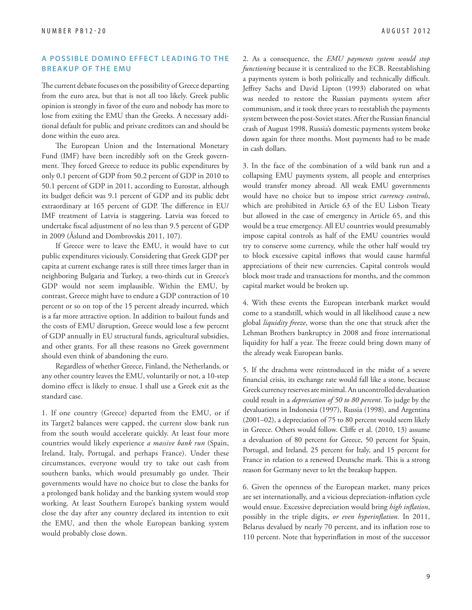#### **A POSSIBLE DOMINO EFFECT LEADING TO THE BREAKUP OF THE EMU**

The current debate focuses on the possibility of Greece departing from the euro area, but that is not all too likely. Greek public opinion is strongly in favor of the euro and nobody has more to lose from exiting the EMU than the Greeks. A necessary additional default for public and private creditors can and should be done within the euro area.

The European Union and the International Monetary Fund (IMF) have been incredibly soft on the Greek government. They forced Greece to reduce its public expenditures by only 0.1 percent of GDP from 50.2 percent of GDP in 2010 to 50.1 percent of GDP in 2011, according to Eurostat, although its budget deficit was 9.1 percent of GDP and its public debt extraordinary at 165 percent of GDP. The difference in EU/ IMF treatment of Latvia is staggering. Latvia was forced to undertake fiscal adjustment of no less than 9.5 percent of GDP in 2009 (Åslund and Dombrovskis 2011, 107).

If Greece were to leave the EMU, it would have to cut public expenditures viciously. Considering that Greek GDP per capita at current exchange rates is still three times larger than in neighboring Bulgaria and Turkey, a two-thirds cut in Greece's GDP would not seem implausible. Within the EMU, by contrast, Greece might have to endure a GDP contraction of 10 percent or so on top of the 15 percent already incurred, which is a far more attractive option. In addition to bailout funds and the costs of EMU disruption, Greece would lose a few percent of GDP annually in EU structural funds, agricultural subsidies, and other grants. For all these reasons no Greek government should even think of abandoning the euro.

Regardless of whether Greece, Finland, the Netherlands, or any other country leaves the EMU, voluntarily or not, a 10-step domino effect is likely to ensue. I shall use a Greek exit as the standard case.

1. If one country (Greece) departed from the EMU, or if its Target2 balances were capped, the current slow bank run from the south would accelerate quickly. At least four more countries would likely experience *a massive bank run* (Spain, Ireland, Italy, Portugal, and perhaps France). Under these circumstances, everyone would try to take out cash from southern banks, which would presumably go under. Their governments would have no choice but to close the banks for a prolonged bank holiday and the banking system would stop working. At least Southern Europe's banking system would close the day after any country declared its intention to exit the EMU, and then the whole European banking system would probably close down.

2. As a consequence, the *EMU payments system would stop functioning* because it is centralized to the ECB. Reestablishing a payments system is both politically and technically difficult. Jeffrey Sachs and David Lipton (1993) elaborated on what was needed to restore the Russian payments system after communism, and it took three years to reestablish the payments system between the post-Soviet states. After the Russian financial crash of August 1998, Russia's domestic payments system broke down again for three months. Most payments had to be made in cash dollars.

3. In the face of the combination of a wild bank run and a collapsing EMU payments system, all people and enterprises would transfer money abroad. All weak EMU governments would have no choice but to impose strict *currency controls*, which are prohibited in Article 63 of the EU Lisbon Treaty but allowed in the case of emergency in Article 65, and this would be a true emergency. All EU countries would presumably impose capital controls as half of the EMU countries would try to conserve some currency, while the other half would try to block excessive capital inflows that would cause harmful appreciations of their new currencies. Capital controls would block most trade and transactions for months, and the common capital market would be broken up.

4. With these events the European interbank market would come to a standstill, which would in all likelihood cause a new global *liquidity freeze*, worse than the one that struck after the Lehman Brothers bankruptcy in 2008 and froze international liquidity for half a year. The freeze could bring down many of the already weak European banks.

5. If the drachma were reintroduced in the midst of a severe financial crisis, its exchange rate would fall like a stone, because Greek currency reserves are minimal. An uncontrolled devaluation could result in a *depreciation of 50 to 80 percent*. To judge by the devaluations in Indonesia (1997), Russia (1998), and Argentina (2001–02), a depreciation of 75 to 80 percent would seem likely in Greece. Others would follow. Cliffe et al. (2010, 13) assume a devaluation of 80 percent for Greece, 50 percent for Spain, Portugal, and Ireland, 25 percent for Italy, and 15 percent for France in relation to a renewed Deutsche mark. This is a strong reason for Germany never to let the breakup happen.

6. Given the openness of the European market, many prices are set internationally, and a vicious depreciation-inflation cycle would ensue. Excessive depreciation would bring *high inflation*, possibly in the triple digits, or even hyperinflation. In 2011, Belarus devalued by nearly 70 percent, and its inflation rose to 110 percent. Note that hyperinflation in most of the successor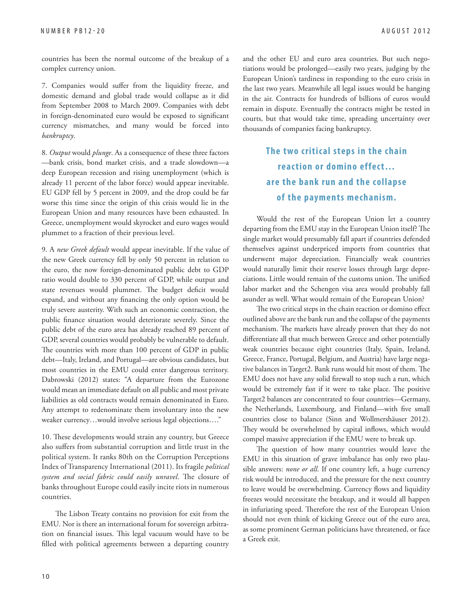countries has been the normal outcome of the breakup of a complex currency union.

7. Companies would suffer from the liquidity freeze, and domestic demand and global trade would collapse as it did from September 2008 to March 2009. Companies with debt in foreign-denominated euro would be exposed to significant currency mismatches, and many would be forced into *bankruptcy*.

8. *Output* would *plunge*. As a consequence of these three factors —bank crisis, bond market crisis, and a trade slowdown—a deep European recession and rising unemployment (which is already 11 percent of the labor force) would appear inevitable. EU GDP fell by 5 percent in 2009, and the drop could be far worse this time since the origin of this crisis would lie in the European Union and many resources have been exhausted. In Greece, unemployment would skyrocket and euro wages would plummet to a fraction of their previous level.

9. A *new Greek default* would appear inevitable. If the value of the new Greek currency fell by only 50 percent in relation to the euro, the now foreign-denominated public debt to GDP ratio would double to 330 percent of GDP, while output and state revenues would plummet. The budget deficit would expand, and without any financing the only option would be truly severe austerity. With such an economic contraction, the public finance situation would deteriorate severely. Since the public debt of the euro area has already reached 89 percent of GDP, several countries would probably be vulnerable to default. The countries with more than 100 percent of GDP in public debt—Italy, Ireland, and Portugal—are obvious candidates, but most countries in the EMU could enter dangerous territory. Dabrowski (2012) states: "A departure from the Eurozone would mean an immediate default on all public and most private liabilities as old contracts would remain denominated in Euro. Any attempt to redenominate them involuntary into the new weaker currency…would involve serious legal objections…."

10. These developments would strain any country, but Greece also suffers from substantial corruption and little trust in the political system. It ranks 80th on the Corruption Perceptions Index of Transparency International (2011). Its fragile *political*  system and social fabric could easily unravel. The closure of banks throughout Europe could easily incite riots in numerous countries.

The Lisbon Treaty contains no provision for exit from the EMU. Nor is there an international forum for sovereign arbitration on financial issues. This legal vacuum would have to be filled with political agreements between a departing country and the other EU and euro area countries. But such negotiations would be prolonged—easily two years, judging by the European Union's tardiness in responding to the euro crisis in the last two years. Meanwhile all legal issues would be hanging in the air. Contracts for hundreds of billions of euros would remain in dispute. Eventually the contracts might be tested in courts, but that would take time, spreading uncertainty over thousands of companies facing bankruptcy.

> **The two critical steps in the chain reaction or domino effect… are the bank run and the collapse of the payments mechanism.**

Would the rest of the European Union let a country departing from the EMU stay in the European Union itself? The single market would presumably fall apart if countries defended themselves against underpriced imports from countries that underwent major depreciation. Financially weak countries would naturally limit their reserve losses through large depreciations. Little would remain of the customs union. The unified labor market and the Schengen visa area would probably fall asunder as well. What would remain of the European Union?

The two critical steps in the chain reaction or domino effect outlined above are the bank run and the collapse of the payments mechanism. The markets have already proven that they do not differentiate all that much between Greece and other potentially weak countries because eight countries (Italy, Spain, Ireland, Greece, France, Portugal, Belgium, and Austria) have large negative balances in Target2. Bank runs would hit most of them. The EMU does not have any solid firewall to stop such a run, which would be extremely fast if it were to take place. The positive Target2 balances are concentrated to four countries—Germany, the Netherlands, Luxembourg, and Finland—with five small countries close to balance (Sinn and Wollmershäuser 2012). They would be overwhelmed by capital inflows, which would compel massive appreciation if the EMU were to break up.

The question of how many countries would leave the EMU in this situation of grave imbalance has only two plausible answers: *none or all*. If one country left, a huge currency risk would be introduced, and the pressure for the next country to leave would be overwhelming. Currency flows and liquidity freezes would necessitate the breakup, and it would all happen in infuriating speed. Therefore the rest of the European Union should not even think of kicking Greece out of the euro area, as some prominent German politicians have threatened, or face a Greek exit.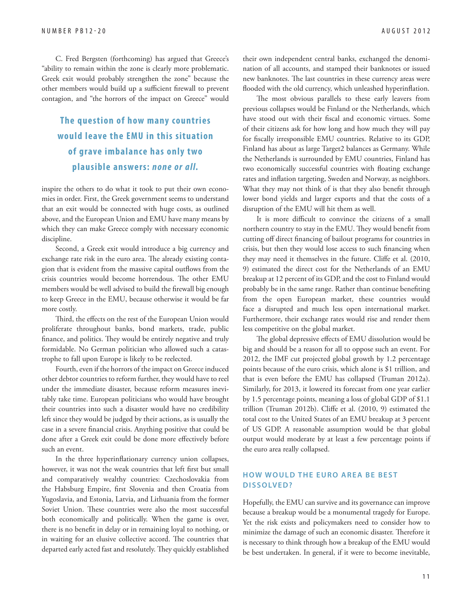C. Fred Bergsten (forthcoming) has argued that Greece's "ability to remain within the zone is clearly more problematic. Greek exit would probably strengthen the zone" because the other members would build up a sufficient firewall to prevent contagion, and "the horrors of the impact on Greece" would

#### **The question of how many countries would leave the EMU in this situation of grave imbalance has only two plausible answers:** *none or all.*

inspire the others to do what it took to put their own economies in order. First, the Greek government seems to understand that an exit would be connected with huge costs, as outlined above, and the European Union and EMU have many means by which they can make Greece comply with necessary economic discipline.

Second, a Greek exit would introduce a big currency and exchange rate risk in the euro area. The already existing contagion that is evident from the massive capital outflows from the crisis countries would become horrendous. The other EMU members would be well advised to build the firewall big enough to keep Greece in the EMU, because otherwise it would be far more costly.

Third, the effects on the rest of the European Union would proliferate throughout banks, bond markets, trade, public finance, and politics. They would be entirely negative and truly formidable. No German politician who allowed such a catastrophe to fall upon Europe is likely to be reelected.

Fourth, even if the horrors of the impact on Greece induced other debtor countries to reform further, they would have to reel under the immediate disaster, because reform measures inevitably take time. European politicians who would have brought their countries into such a disaster would have no credibility left since they would be judged by their actions, as is usually the case in a severe financial crisis. Anything positive that could be done after a Greek exit could be done more effectively before such an event.

In the three hyperinflationary currency union collapses, however, it was not the weak countries that left first but small and comparatively wealthy countries: Czechoslovakia from the Habsburg Empire, first Slovenia and then Croatia from Yugoslavia, and Estonia, Latvia, and Lithuania from the former Soviet Union. These countries were also the most successful both economically and politically. When the game is over, there is no benefit in delay or in remaining loyal to nothing, or in waiting for an elusive collective accord. The countries that departed early acted fast and resolutely. They quickly established

their own independent central banks, exchanged the denomination of all accounts, and stamped their banknotes or issued new banknotes. The last countries in these currency areas were flooded with the old currency, which unleashed hyperinflation.

The most obvious parallels to these early leavers from previous collapses would be Finland or the Netherlands, which have stood out with their fiscal and economic virtues. Some of their citizens ask for how long and how much they will pay for fiscally irresponsible EMU countries. Relative to its GDP, Finland has about as large Target2 balances as Germany. While the Netherlands is surrounded by EMU countries, Finland has two economically successful countries with floating exchange rates and inflation targeting, Sweden and Norway, as neighbors. What they may not think of is that they also benefit through lower bond yields and larger exports and that the costs of a disruption of the EMU will hit them as well.

It is more difficult to convince the citizens of a small northern country to stay in the EMU. They would benefit from cutting off direct financing of bailout programs for countries in crisis, but then they would lose access to such financing when they may need it themselves in the future. Cliffe et al. (2010, 9) estimated the direct cost for the Netherlands of an EMU breakup at 12 percent of its GDP, and the cost to Finland would probably be in the same range. Rather than continue benefiting from the open European market, these countries would face a disrupted and much less open international market. Furthermore, their exchange rates would rise and render them less competitive on the global market.

The global depressive effects of EMU dissolution would be big and should be a reason for all to oppose such an event. For 2012, the IMF cut projected global growth by 1.2 percentage points because of the euro crisis, which alone is \$1 trillion, and that is even before the EMU has collapsed (Truman 2012a). Similarly, for 2013, it lowered its forecast from one year earlier by 1.5 percentage points, meaning a loss of global GDP of \$1.1 trillion (Truman 2012b). Cliffe et al. (2010, 9) estimated the total cost to the United States of an EMU breakup at 3 percent of US GDP. A reasonable assumption would be that global output would moderate by at least a few percentage points if the euro area really collapsed.

#### **HOW WOULD THE EURO AREA BE BEST DISSOLVED?**

Hopefully, the EMU can survive and its governance can improve because a breakup would be a monumental tragedy for Europe. Yet the risk exists and policymakers need to consider how to minimize the damage of such an economic disaster. Therefore it is necessary to think through how a breakup of the EMU would be best undertaken. In general, if it were to become inevitable,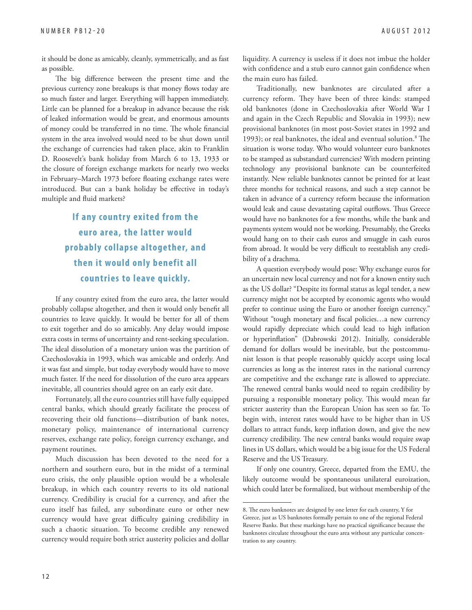it should be done as amicably, cleanly, symmetrically, and as fast as possible.

The big difference between the present time and the previous currency zone breakups is that money flows today are so much faster and larger. Everything will happen immediately. Little can be planned for a breakup in advance because the risk of leaked information would be great, and enormous amounts of money could be transferred in no time. The whole financial system in the area involved would need to be shut down until the exchange of currencies had taken place, akin to Franklin D. Roosevelt's bank holiday from March 6 to 13, 1933 or the closure of foreign exchange markets for nearly two weeks in February–March 1973 before floating exchange rates were introduced. But can a bank holiday be effective in today's multiple and fluid markets?

### **If any country exited from the euro area, the latter would probably collapse altogether, and then it would only benefit all countries to leave quickly.**

If any country exited from the euro area, the latter would probably collapse altogether, and then it would only benefit all countries to leave quickly. It would be better for all of them to exit together and do so amicably. Any delay would impose extra costs in terms of uncertainty and rent-seeking speculation. The ideal dissolution of a monetary union was the partition of Czechoslovakia in 1993, which was amicable and orderly. And it was fast and simple, but today everybody would have to move much faster. If the need for dissolution of the euro area appears inevitable, all countries should agree on an early exit date.

Fortunately, all the euro countries still have fully equipped central banks, which should greatly facilitate the process of recovering their old functions—distribution of bank notes, monetary policy, maintenance of international currency reserves, exchange rate policy, foreign currency exchange, and payment routines.

Much discussion has been devoted to the need for a northern and southern euro, but in the midst of a terminal euro crisis, the only plausible option would be a wholesale breakup, in which each country reverts to its old national currency. Credibility is crucial for a currency, and after the euro itself has failed, any subordinate euro or other new currency would have great difficulty gaining credibility in such a chaotic situation. To become credible any renewed currency would require both strict austerity policies and dollar liquidity. A currency is useless if it does not imbue the holder with confidence and a stub euro cannot gain confidence when the main euro has failed.

Traditionally, new banknotes are circulated after a currency reform. They have been of three kinds: stamped old banknotes (done in Czechoslovakia after World War I and again in the Czech Republic and Slovakia in 1993); new provisional banknotes (in most post-Soviet states in 1992 and 1993); or real banknotes, the ideal and eventual solution.<sup>8</sup> The situation is worse today. Who would volunteer euro banknotes to be stamped as substandard currencies? With modern printing technology any provisional banknote can be counterfeited instantly. New reliable banknotes cannot be printed for at least three months for technical reasons, and such a step cannot be taken in advance of a currency reform because the information would leak and cause devastating capital outflows. Thus Greece would have no banknotes for a few months, while the bank and payments system would not be working. Presumably, the Greeks would hang on to their cash euros and smuggle in cash euros from abroad. It would be very difficult to reestablish any credibility of a drachma.

A question everybody would pose: Why exchange euros for an uncertain new local currency and not for a known entity such as the US dollar? "Despite its formal status as legal tender, a new currency might not be accepted by economic agents who would prefer to continue using the Euro or another foreign currency." Without "tough monetary and fiscal policies...a new currency would rapidly depreciate which could lead to high inflation or hyperinflation" (Dabrowski 2012). Initially, considerable demand for dollars would be inevitable, but the postcommunist lesson is that people reasonably quickly accept using local currencies as long as the interest rates in the national currency are competitive and the exchange rate is allowed to appreciate. The renewed central banks would need to regain credibility by pursuing a responsible monetary policy. This would mean far stricter austerity than the European Union has seen so far. To begin with, interest rates would have to be higher than in US dollars to attract funds, keep inflation down, and give the new currency credibility. The new central banks would require swap lines in US dollars, which would be a big issue for the US Federal Reserve and the US Treasury.

If only one country, Greece, departed from the EMU, the likely outcome would be spontaneous unilateral euroization, which could later be formalized, but without membership of the

<sup>8.</sup> The euro banknotes are designed by one letter for each country, Y for Greece, just as US banknotes formally pertain to one of the regional Federal Reserve Banks. But these markings have no practical significance because the banknotes circulate throughout the euro area without any particular concentration to any country.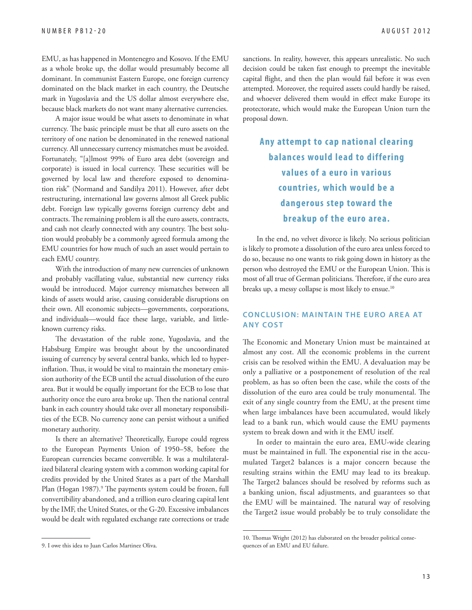EMU, as has happened in Montenegro and Kosovo. If the EMU as a whole broke up, the dollar would presumably become all dominant. In communist Eastern Europe, one foreign currency dominated on the black market in each country, the Deutsche mark in Yugoslavia and the US dollar almost everywhere else, because black markets do not want many alternative currencies.

A major issue would be what assets to denominate in what currency. The basic principle must be that all euro assets on the territory of one nation be denominated in the renewed national currency. All unnecessary currency mismatches must be avoided. Fortunately, "[a]lmost 99% of Euro area debt (sovereign and corporate) is issued in local currency. These securities will be governed by local law and therefore exposed to denomination risk" (Normand and Sandilya 2011). However, after debt restructuring, international law governs almost all Greek public debt. Foreign law typically governs foreign currency debt and contracts. The remaining problem is all the euro assets, contracts, and cash not clearly connected with any country. The best solution would probably be a commonly agreed formula among the EMU countries for how much of such an asset would pertain to each EMU country.

With the introduction of many new currencies of unknown and probably vacillating value, substantial new currency risks would be introduced. Major currency mismatches between all kinds of assets would arise, causing considerable disruptions on their own. All economic subjects—governments, corporations, and individuals—would face these large, variable, and littleknown currency risks.

The devastation of the ruble zone, Yugoslavia, and the Habsburg Empire was brought about by the uncoordinated issuing of currency by several central banks, which led to hyperinflation. Thus, it would be vital to maintain the monetary emission authority of the ECB until the actual dissolution of the euro area. But it would be equally important for the ECB to lose that authority once the euro area broke up. Then the national central bank in each country should take over all monetary responsibilities of the ECB. No currency zone can persist without a unified monetary authority.

Is there an alternative? Theoretically, Europe could regress to the European Payments Union of 1950–58, before the European currencies became convertible. It was a multilateralized bilateral clearing system with a common working capital for credits provided by the United States as a part of the Marshall Plan (Hogan 1987).<sup>9</sup> The payments system could be frozen, full convertibility abandoned, and a trillion euro clearing capital lent by the IMF, the United States, or the G-20. Excessive imbalances would be dealt with regulated exchange rate corrections or trade

sanctions. In reality, however, this appears unrealistic. No such decision could be taken fast enough to preempt the inevitable capital flight, and then the plan would fail before it was even attempted. Moreover, the required assets could hardly be raised, and whoever delivered them would in effect make Europe its protectorate, which would make the European Union turn the proposal down.

### **Any attempt to cap national clearing balances would lead to differing values of a euro in various countries, which would be a dangerous step toward the breakup of the euro area.**

In the end, no velvet divorce is likely. No serious politician is likely to promote a dissolution of the euro area unless forced to do so, because no one wants to risk going down in history as the person who destroyed the EMU or the European Union. This is most of all true of German politicians. Therefore, if the euro area breaks up, a messy collapse is most likely to ensue.<sup>10</sup>

#### **CONCLUSION: MAINTAIN THE EURO AREA AT ANY COST**

The Economic and Monetary Union must be maintained at almost any cost. All the economic problems in the current crisis can be resolved within the EMU. A devaluation may be only a palliative or a postponement of resolution of the real problem, as has so often been the case, while the costs of the dissolution of the euro area could be truly monumental. The exit of any single country from the EMU, at the present time when large imbalances have been accumulated, would likely lead to a bank run, which would cause the EMU payments system to break down and with it the EMU itself.

In order to maintain the euro area, EMU-wide clearing must be maintained in full. The exponential rise in the accumulated Target2 balances is a major concern because the resulting strains within the EMU may lead to its breakup. The Target2 balances should be resolved by reforms such as a banking union, fiscal adjustments, and guarantees so that the EMU will be maintained. The natural way of resolving the Target2 issue would probably be to truly consolidate the

<sup>9.</sup> I owe this idea to Juan Carlos Martinez Oliva.

<sup>10.</sup> Thomas Wright (2012) has elaborated on the broader political consequences of an EMU and EU failure.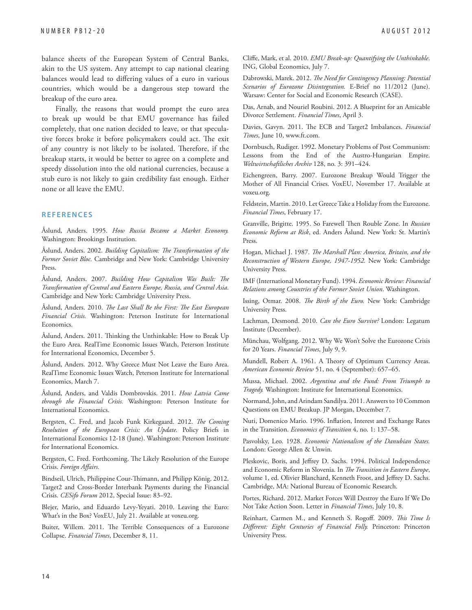balance sheets of the European System of Central Banks, akin to the US system. Any attempt to cap national clearing balances would lead to differing values of a euro in various countries, which would be a dangerous step toward the breakup of the euro area.

Finally, the reasons that would prompt the euro area to break up would be that EMU governance has failed completely, that one nation decided to leave, or that speculative forces broke it before policymakers could act. The exit of any country is not likely to be isolated. Therefore, if the breakup starts, it would be better to agree on a complete and speedy dissolution into the old national currencies, because a stub euro is not likely to gain credibility fast enough. Either none or all leave the EMU.

#### **REFERENCES**

Åslund, Anders. 1995. *How Russia Became a Market Economy.* Washington: Brookings Institution.

Åslund, Anders. 2002. Building Capitalism: The Transformation of the *Former Soviet Bloc.* Cambridge and New York: Cambridge University Press.

Åslund, Anders. 2007. Building How Capitalism Was Built: The *Transformation of Central and Eastern Europe, Russia, and Central Asia*. Cambridge and New York: Cambridge University Press.

Åslund, Anders. 2010. *The Last Shall Be the First: The East European Financial Crisis.* Washington: Peterson Institute for International Economics.

Åslund, Anders. 2011. Thinking the Unthinkable: How to Break Up the Euro Area. RealTime Economic Issues Watch, Peterson Institute for International Economics, December 5.

Åslund, Anders. 2012. Why Greece Must Not Leave the Euro Area. RealTime Economic Issues Watch, Peterson Institute for International Economics, March 7.

Åslund, Anders, and Valdis Dombrovskis. 2011. *How Latvia Came through the Financial Crisis.* Washington: Peterson Institute for International Economics.

Bergsten, C. Fred, and Jacob Funk Kirkegaard. 2012. *The Coming Resolution of the European Crisis: An Update.* Policy Briefs in International Economics 12-18 (June). Washington: Peterson Institute for International Economics.

Bergsten, C. Fred. Forthcoming. The Likely Resolution of the Europe Crisis. Foreign Affairs.

Bindseil, Ulrich, Philippine Cour-Thimann, and Philipp König. 2012. Target2 and Cross-Border Interbank Payments during the Financial Crisis. *CESifo Forum* 2012, Special Issue: 83–92.

Blejer, Mario, and Eduardo Levy-Yeyati. 2010. Leaving the Euro: What's in the Box? VoxEU, July 21. Available at voxeu.org.

Buiter, Willem. 2011. The Terrible Consequences of a Eurozone Collapse. *Financial Times*, December 8, 11.

Cliffe, Mark, et al. 2010. *EMU Break-up: Quantifying the Unthinkable*. ING, Global Economics, July 7.

Dabrowski, Marek. 2012. *The Need for Contingency Planning: Potential Scenarios of Eurozone Disintegration.* E-Brief no 11/2012 (June). Warsaw: Center for Social and Economic Research (CASE).

Das, Arnab, and Nouriel Roubini. 2012. A Blueprint for an Amicable Divorce Settlement. *Financial Times*, April 3.

Davies, Gavyn. 2011. The ECB and Target2 Imbalances. *Financial Times*, June 10, www.ft.com.

Dornbusch, Rudiger. 1992. Monetary Problems of Post Communism: Lessons from the End of the Austro-Hungarian Empire. *Weltwirtschaftliches Archiv* 128, no. 3: 391–424.

Eichengreen, Barry. 2007. Eurozone Breakup Would Trigger the Mother of All Financial Crises. VoxEU, November 17. Available at voxeu.org.

Feldstein, Martin. 2010. Let Greece Take a Holiday from the Eurozone. *Financial Times*, February 17.

Granville, Brigitte. 1995. So Farewell Then Rouble Zone. In *Russian Economic Reform at Risk*, ed. Anders Åslund. New York: St. Martin's Press.

Hogan, Michael J. 1987. *The Marshall Plan: America, Britain, and the Reconstruction of Western Europe, 1947-1952.* New York: Cambridge University Press.

IMF (International Monetary Fund). 1994. *Economic Review: Financial Relations among Countries of the Former Soviet Union*. Washington.

Issing, Otmar. 2008. *The Birth of the Euro*. New York: Cambridge University Press.

Lachman, Desmond. 2010. *Can the Euro Survive?* London: Legatum Institute (December).

Münchau, Wolfgang. 2012. Why We Won't Solve the Eurozone Crisis for 20 Years. *Financial Times*, July 9, 9.

Mundell, Robert A. 1961. A Theory of Optimum Currency Areas. *American Economic Review* 51, no. 4 (September): 657–65.

Mussa, Michael. 2002. *Argentina and the Fund: From Triumph to Tragedy.* Washington: Institute for International Economics.

Normand, John, and Arindam Sandilya. 2011. Answers to 10 Common Questions on EMU Breakup. JP Morgan, December 7.

Nuti, Domenico Mario. 1996. Inflation, Interest and Exchange Rates in the Transition. *Economics of Transition* 4, no. 1: 137–58.

Pasvolsky, Leo. 1928. *Economic Nationalism of the Danubian States.* London: George Allen & Unwin.

Pleskovic, Boris, and Jeffrey D. Sachs. 1994. Political Independence and Economic Reform in Slovenia. In *The Transition in Eastern Europe*, volume 1, ed. Olivier Blanchard, Kenneth Froot, and Jeffrey D. Sachs. Cambridge, MA: National Bureau of Economic Research.

Portes, Richard. 2012. Market Forces Will Destroy the Euro If We Do Not Take Action Soon. Letter in *Financial Times*, July 10, 8.

Reinhart, Carmen M., and Kenneth S. Rogoff. 2009. *This Time Is Diff erent: Eight Centuries of Financial Folly.* Princeton: Princeton University Press.